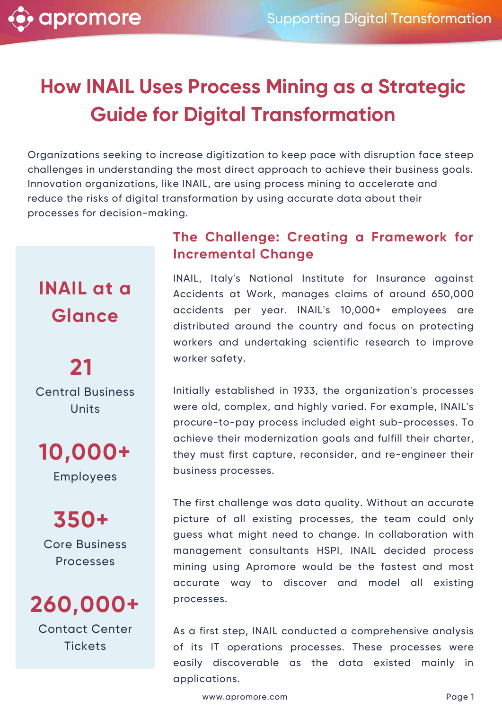# **How INAIL Uses Process Mining as a Strategic Guide for Digital Transformation**

Organizations seeking to increase digitization to keep pace with disruption face steep challenges in understanding the most direct approach to achieve their business goals. Innovation organizations, like INAIL, are using process mining to accelerate and reduce the risks of digital transformation by using accurate data about their processes for decision-making.

## **INAIL at a Glance**

**21** Central Business Units

**10,000+** Employees

**350+** Core Business Processes

**260,000+**

Contact Center **Tickets** 

## **The Challenge: Creating a Framework for Incremental Change**

INAIL, Italy's National Institute for Insurance against Accidents at Work, manages claims of around 650,000 accidents per year. INAIL's 10,000+ employees are distributed around the country and focus on protecting workers and undertaking scientific research to improve worker safety.

Initially established in 1933, the organization's processes were old, complex, and highly varied. For example, INAIL's procure-to-pay process included eight sub-processes. To achieve their modernization goals and fulfill their charter, they must first capture, reconsider, and re-engineer their business processes.

The first challenge was data quality. Without an accurate picture of all existing processes, the team could only guess what might need to change. In collaboration with management consultants HSPI, INAIL decided process mining using Apromore would be the fastest and most accurate way to discover and model all existing processes.

As a first step, INAIL conducted a comprehensive analysis of its IT operations processes. These processes were easily discoverable as the data existed mainly in applications.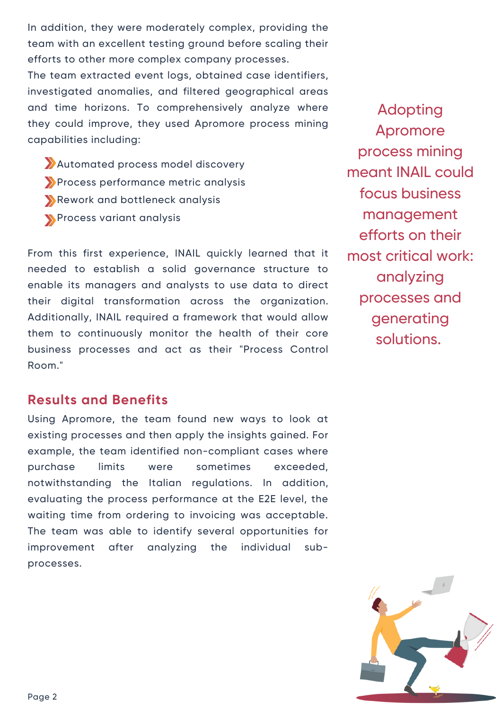In addition, they were moderately complex, providing the team with an excellent testing ground before scaling their efforts to other more complex company processes.

The team extracted event logs, obtained case identifiers, investigated anomalies, and filtered geographical areas and time horizons. To comprehensively analyze where they could improve, they used Apromore process mining capabilities including:

Automated process model discovery Process performance metric analysis Rework and bottleneck analysis Process variant analysis

From this first experience, INAIL quickly learned that it needed to establish a solid governance structure to enable its managers and analysts to use data to direct their digital transformation across the organization. Additionally, INAIL required a framework that would allow them to continuously monitor the health of their core business processes and act as their "Process Control Room."

Adopting Apromore process mining meant INAIL could focus business management efforts on their most critical work: analyzing processes and generating solutions.

#### **Results and Benefits**

Using Apromore, the team found new ways to look at existing processes and then apply the insights gained. For example, the team identified non-compliant cases where purchase limits were sometimes exceeded, notwithstanding the Italian regulations. In addition, evaluating the process performance at the E2E level, the waiting time from ordering to invoicing was acceptable. The team was able to identify several opportunities for improvement after analyzing the individual subprocesses.